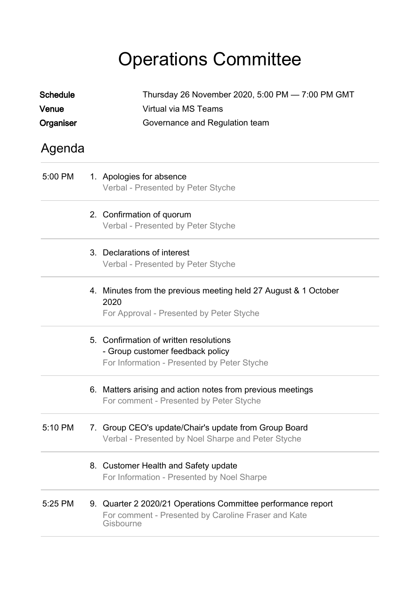# Operations Committee

| <b>Schedule</b><br>Venue<br>Organiser | Thursday 26 November 2020, 5:00 PM - 7:00 PM GMT<br>Virtual via MS Teams<br>Governance and Regulation team                       |
|---------------------------------------|----------------------------------------------------------------------------------------------------------------------------------|
| Agenda                                |                                                                                                                                  |
| 5:00 PM                               | 1. Apologies for absence<br>Verbal - Presented by Peter Styche                                                                   |
|                                       | 2. Confirmation of quorum<br>Verbal - Presented by Peter Styche                                                                  |
|                                       | 3. Declarations of interest<br>Verbal - Presented by Peter Styche                                                                |
|                                       | 4. Minutes from the previous meeting held 27 August & 1 October<br>2020<br>For Approval - Presented by Peter Styche              |
|                                       | 5. Confirmation of written resolutions<br>- Group customer feedback policy<br>For Information - Presented by Peter Styche        |
|                                       | 6. Matters arising and action notes from previous meetings<br>For comment - Presented by Peter Styche                            |
| 5:10 PM                               | 7. Group CEO's update/Chair's update from Group Board<br>Verbal - Presented by Noel Sharpe and Peter Styche                      |
|                                       | 8. Customer Health and Safety update<br>For Information - Presented by Noel Sharpe                                               |
| 5:25 PM                               | 9. Quarter 2 2020/21 Operations Committee performance report<br>For comment - Presented by Caroline Fraser and Kate<br>Gisbourne |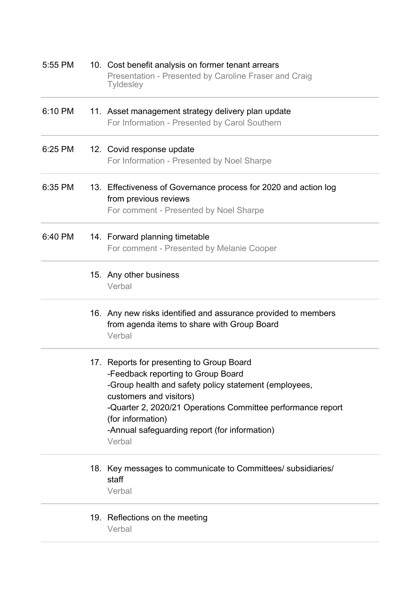| 5:55 PM | 10. Cost benefit analysis on former tenant arrears<br>Presentation - Presented by Caroline Fraser and Craig<br><b>Tyldesley</b>                                                                                                                                                                                    |
|---------|--------------------------------------------------------------------------------------------------------------------------------------------------------------------------------------------------------------------------------------------------------------------------------------------------------------------|
| 6:10 PM | 11. Asset management strategy delivery plan update<br>For Information - Presented by Carol Southern                                                                                                                                                                                                                |
| 6:25 PM | 12. Covid response update<br>For Information - Presented by Noel Sharpe                                                                                                                                                                                                                                            |
| 6:35 PM | 13. Effectiveness of Governance process for 2020 and action log<br>from previous reviews<br>For comment - Presented by Noel Sharpe                                                                                                                                                                                 |
| 6:40 PM | 14. Forward planning timetable<br>For comment - Presented by Melanie Cooper                                                                                                                                                                                                                                        |
|         | 15. Any other business<br>Verbal                                                                                                                                                                                                                                                                                   |
|         | 16. Any new risks identified and assurance provided to members<br>from agenda items to share with Group Board<br>Verbal                                                                                                                                                                                            |
|         | 17. Reports for presenting to Group Board<br>-Feedback reporting to Group Board<br>-Group health and safety policy statement (employees,<br>customers and visitors)<br>-Quarter 2, 2020/21 Operations Committee performance report<br>(for information)<br>-Annual safeguarding report (for information)<br>Verbal |
|         | 18. Key messages to communicate to Committees/ subsidiaries/<br>staff<br>Verbal                                                                                                                                                                                                                                    |
|         | 19. Reflections on the meeting<br>Verbal                                                                                                                                                                                                                                                                           |